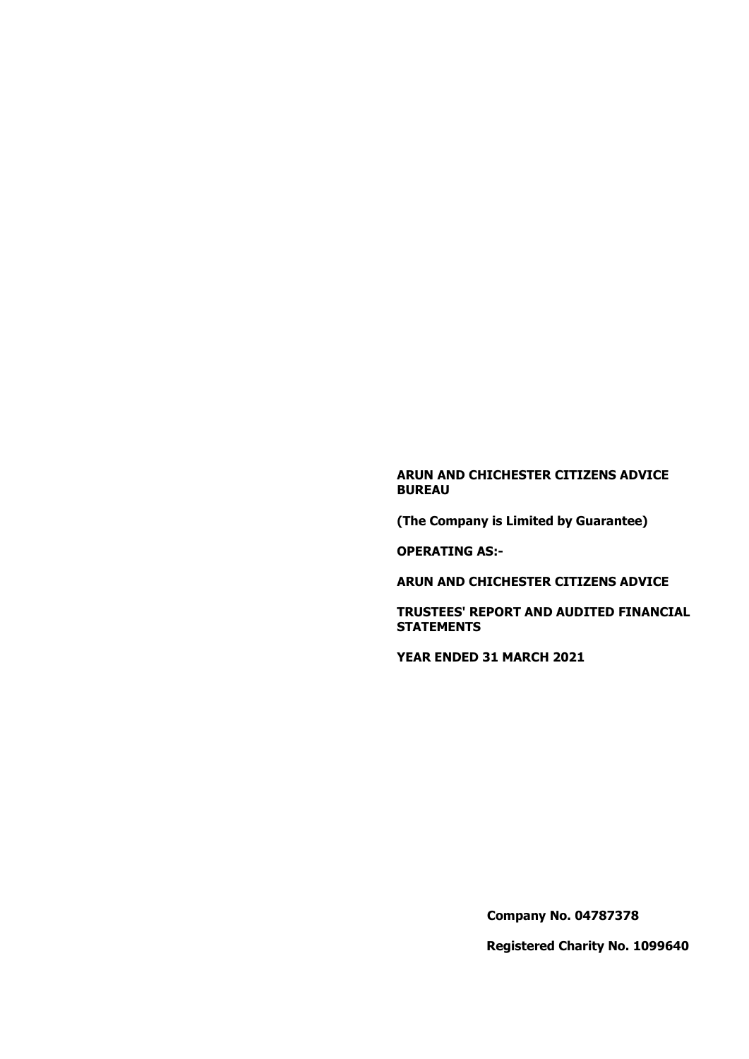**(The Company is Limited by Guarantee)** 

**OPERATING AS:-** 

**ARUN AND CHICHESTER CITIZENS ADVICE** 

**TRUSTEES' REPORT AND AUDITED FINANCIAL STATEMENTS** 

**YEAR ENDED 31 MARCH 2021** 

 **Company No. 04787378** 

 **Registered Charity No. 1099640**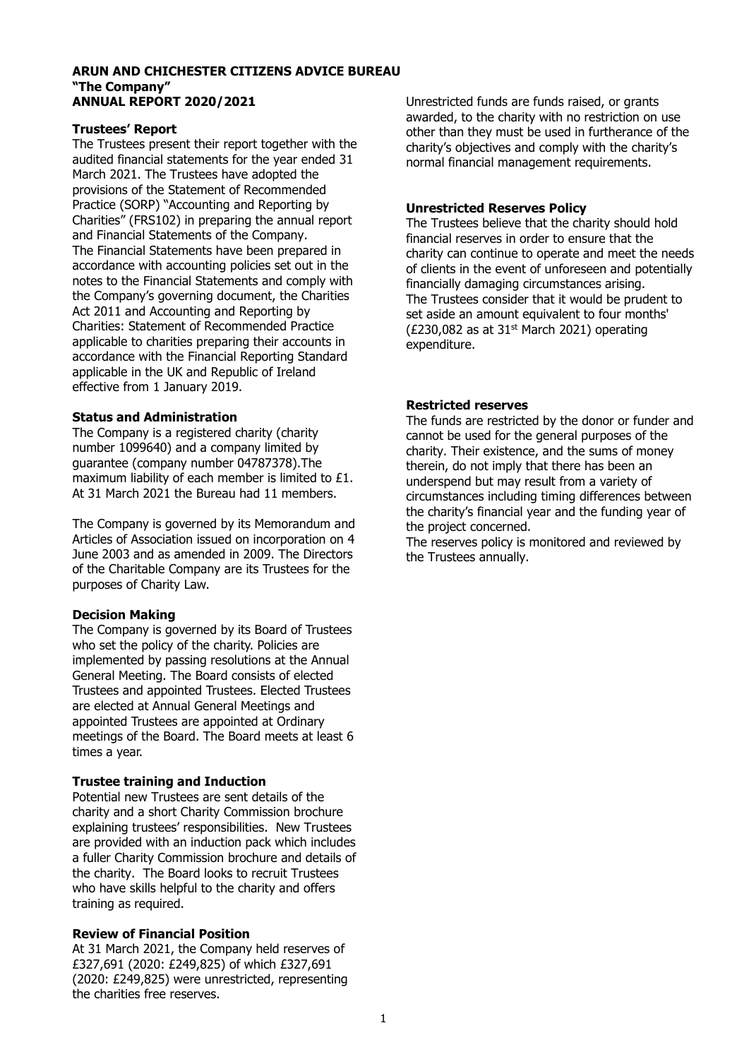### **ARUN AND CHICHESTER CITIZENS ADVICE BUREAU "The Company" ANNUAL REPORT 2020/2021**

### **Trustees' Report**

The Trustees present their report together with the audited financial statements for the year ended 31 March 2021. The Trustees have adopted the provisions of the Statement of Recommended Practice (SORP) "Accounting and Reporting by Charities" (FRS102) in preparing the annual report and Financial Statements of the Company. The Financial Statements have been prepared in accordance with accounting policies set out in the notes to the Financial Statements and comply with the Company's governing document, the Charities Act 2011 and Accounting and Reporting by Charities: Statement of Recommended Practice applicable to charities preparing their accounts in accordance with the Financial Reporting Standard applicable in the UK and Republic of Ireland effective from 1 January 2019.

### **Status and Administration**

The Company is a registered charity (charity number 1099640) and a company limited by guarantee (company number 04787378).The maximum liability of each member is limited to £1. At 31 March 2021 the Bureau had 11 members.

The Company is governed by its Memorandum and Articles of Association issued on incorporation on 4 June 2003 and as amended in 2009. The Directors of the Charitable Company are its Trustees for the purposes of Charity Law.

## **Decision Making**

The Company is governed by its Board of Trustees who set the policy of the charity. Policies are implemented by passing resolutions at the Annual General Meeting. The Board consists of elected Trustees and appointed Trustees. Elected Trustees are elected at Annual General Meetings and appointed Trustees are appointed at Ordinary meetings of the Board. The Board meets at least 6 times a year.

## **Trustee training and Induction**

Potential new Trustees are sent details of the charity and a short Charity Commission brochure explaining trustees' responsibilities. New Trustees are provided with an induction pack which includes a fuller Charity Commission brochure and details of the charity. The Board looks to recruit Trustees who have skills helpful to the charity and offers training as required.

## **Review of Financial Position**

At 31 March 2021, the Company held reserves of £327,691 (2020: £249,825) of which £327,691 (2020: £249,825) were unrestricted, representing the charities free reserves.

Unrestricted funds are funds raised, or grants awarded, to the charity with no restriction on use other than they must be used in furtherance of the charity's objectives and comply with the charity's normal financial management requirements.

### **Unrestricted Reserves Policy**

The Trustees believe that the charity should hold financial reserves in order to ensure that the charity can continue to operate and meet the needs of clients in the event of unforeseen and potentially financially damaging circumstances arising. The Trustees consider that it would be prudent to set aside an amount equivalent to four months'  $(E230.082$  as at  $31<sup>st</sup>$  March 2021) operating expenditure.

## **Restricted reserves**

The funds are restricted by the donor or funder and cannot be used for the general purposes of the charity. Their existence, and the sums of money therein, do not imply that there has been an underspend but may result from a variety of circumstances including timing differences between the charity's financial year and the funding year of the project concerned.

The reserves policy is monitored and reviewed by the Trustees annually.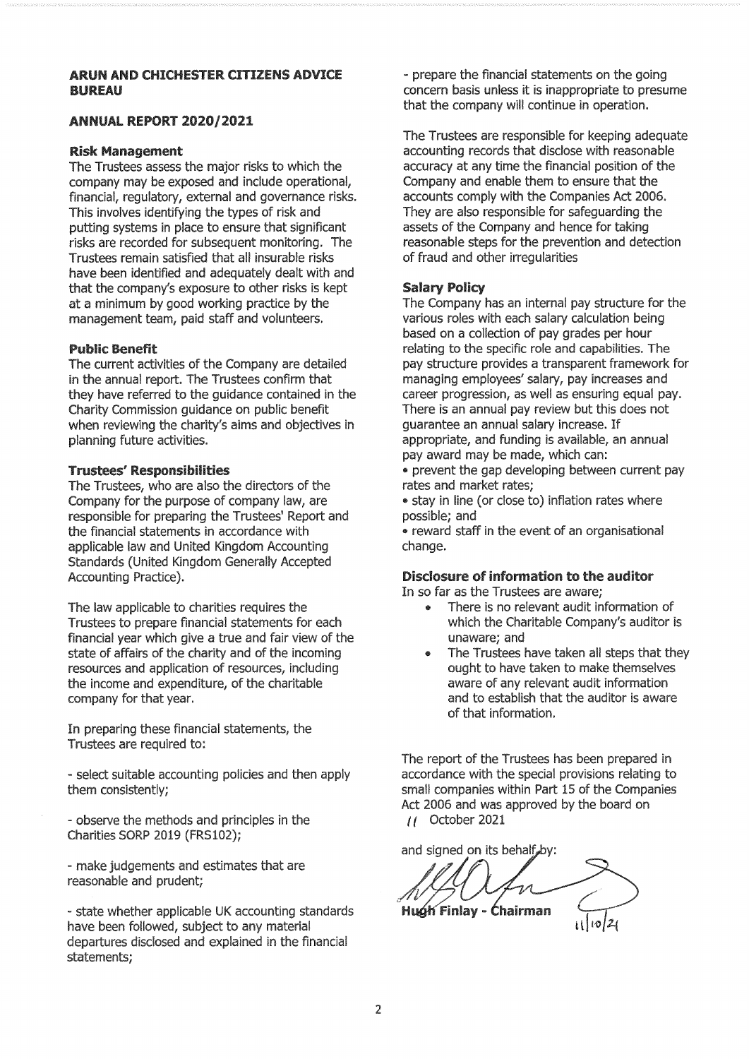### **ANNUAL REPORT 2020/2021**

### **Risk Management**

The Trustees assess the major risks to which the company may be exposed and include operational. financial, regulatory, external and governance risks. This involves identifying the types of risk and putting systems in place to ensure that significant risks are recorded for subsequent monitoring. The Trustees remain satisfied that all insurable risks have been identified and adequately dealt with and that the company's exposure to other risks is kept at a minimum by good working practice by the management team, paid staff and volunteers.

### **Public Benefit**

The current activities of the Company are detailed in the annual report. The Trustees confirm that they have referred to the quidance contained in the Charity Commission quidance on public benefit when reviewing the charity's aims and objectives in planning future activities.

### **Trustees' Responsibilities**

The Trustees, who are also the directors of the Company for the purpose of company law, are responsible for preparing the Trustees' Report and the financial statements in accordance with applicable law and United Kingdom Accounting Standards (United Kingdom Generally Accepted Accounting Practice).

The law applicable to charities requires the Trustees to prepare financial statements for each financial year which give a true and fair view of the state of affairs of the charity and of the incoming resources and application of resources, including the income and expenditure, of the charitable company for that year.

In preparing these financial statements, the Trustees are required to:

- select suitable accounting policies and then apply them consistently;

- observe the methods and principles in the Charities SORP 2019 (FRS102);

- make judgements and estimates that are reasonable and prudent;

- state whether applicable UK accounting standards<br>have been followed, subject to any material departures disclosed and explained in the financial statements;

- prepare the financial statements on the going concern basis unless it is inappropriate to presume that the company will continue in operation.

The Trustees are responsible for keeping adequate accounting records that disclose with reasonable accuracy at any time the financial position of the Company and enable them to ensure that the accounts comply with the Companies Act 2006. They are also responsible for safequarding the assets of the Company and hence for taking reasonable steps for the prevention and detection of fraud and other irregularities

## **Salary Policy**

The Company has an internal pay structure for the various roles with each salary calculation being based on a collection of pay grades per hour relating to the specific role and capabilities. The pay structure provides a transparent framework for managing employees' salary, pay increases and career progression, as well as ensuring equal pay. There is an annual pay review but this does not quarantee an annual salary increase. If appropriate, and funding is available, an annual pay award may be made, which can: • prevent the gap developing between current pay

rates and market rates;

• stay in line (or close to) inflation rates where<br>possible; and

• reward staff in the event of an organisational change.

# Disclosure of information to the auditor

In so far as the Trustees are aware:

- There is no relevant audit information of which the Charitable Company's auditor is unaware; and
- The Trustees have taken all steps that they ought to have taken to make themselves aware of any relevant audit information and to establish that the auditor is aware of that information.

The report of the Trustees has been prepared in accordance with the special provisions relating to small companies within Part 15 of the Companies Act 2006 and was approved by the board on  $/$  f October 2021

and signed on its behalf by:

~ f Hugh Finlay - Chairman  $|10|2$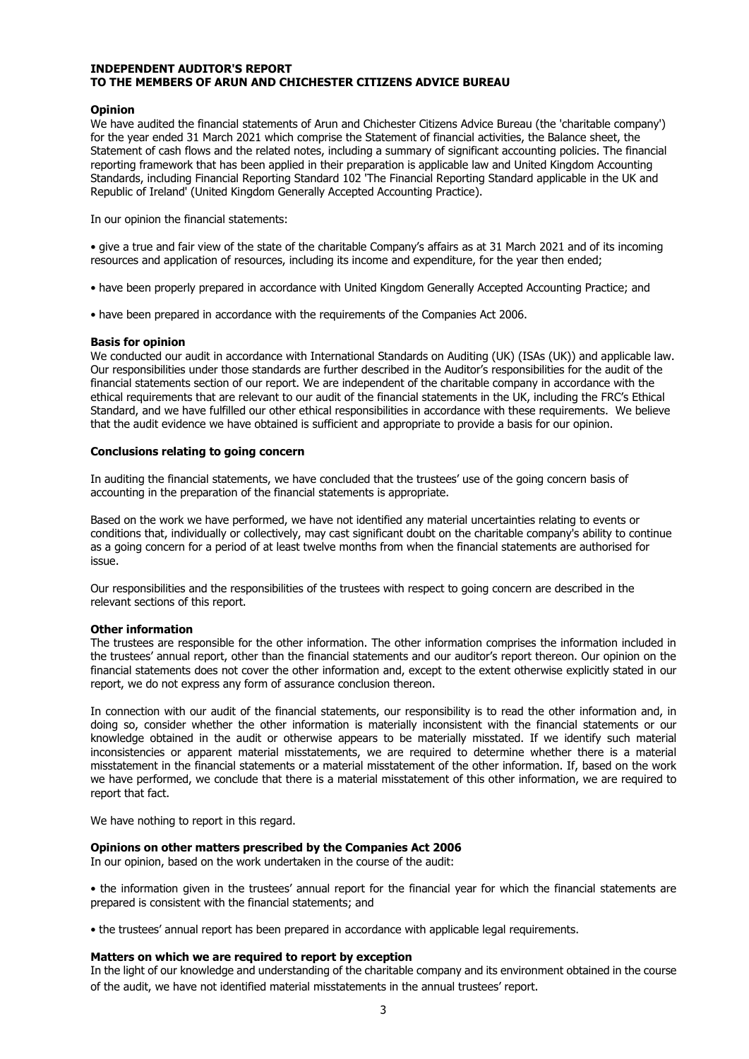#### **INDEPENDENT AUDITOR'S REPORT TO THE MEMBERS OF ARUN AND CHICHESTER CITIZENS ADVICE BUREAU**

#### **Opinion**

We have audited the financial statements of Arun and Chichester Citizens Advice Bureau (the 'charitable company') for the year ended 31 March 2021 which comprise the Statement of financial activities, the Balance sheet, the Statement of cash flows and the related notes, including a summary of significant accounting policies. The financial reporting framework that has been applied in their preparation is applicable law and United Kingdom Accounting Standards, including Financial Reporting Standard 102 'The Financial Reporting Standard applicable in the UK and Republic of Ireland' (United Kingdom Generally Accepted Accounting Practice).

In our opinion the financial statements:

• give a true and fair view of the state of the charitable Company's affairs as at 31 March 2021 and of its incoming resources and application of resources, including its income and expenditure, for the year then ended;

• have been properly prepared in accordance with United Kingdom Generally Accepted Accounting Practice; and

• have been prepared in accordance with the requirements of the Companies Act 2006.

#### **Basis for opinion**

We conducted our audit in accordance with International Standards on Auditing (UK) (ISAs (UK)) and applicable law. Our responsibilities under those standards are further described in the Auditor's responsibilities for the audit of the financial statements section of our report. We are independent of the charitable company in accordance with the ethical requirements that are relevant to our audit of the financial statements in the UK, including the FRC's Ethical Standard, and we have fulfilled our other ethical responsibilities in accordance with these requirements. We believe that the audit evidence we have obtained is sufficient and appropriate to provide a basis for our opinion.

#### **Conclusions relating to going concern**

In auditing the financial statements, we have concluded that the trustees' use of the going concern basis of accounting in the preparation of the financial statements is appropriate.

Based on the work we have performed, we have not identified any material uncertainties relating to events or conditions that, individually or collectively, may cast significant doubt on the charitable company's ability to continue as a going concern for a period of at least twelve months from when the financial statements are authorised for issue.

Our responsibilities and the responsibilities of the trustees with respect to going concern are described in the relevant sections of this report.

### **Other information**

The trustees are responsible for the other information. The other information comprises the information included in the trustees' annual report, other than the financial statements and our auditor's report thereon. Our opinion on the financial statements does not cover the other information and, except to the extent otherwise explicitly stated in our report, we do not express any form of assurance conclusion thereon.

In connection with our audit of the financial statements, our responsibility is to read the other information and, in doing so, consider whether the other information is materially inconsistent with the financial statements or our knowledge obtained in the audit or otherwise appears to be materially misstated. If we identify such material inconsistencies or apparent material misstatements, we are required to determine whether there is a material misstatement in the financial statements or a material misstatement of the other information. If, based on the work we have performed, we conclude that there is a material misstatement of this other information, we are required to report that fact.

We have nothing to report in this regard.

### **Opinions on other matters prescribed by the Companies Act 2006**

In our opinion, based on the work undertaken in the course of the audit:

• the information given in the trustees' annual report for the financial year for which the financial statements are prepared is consistent with the financial statements; and

• the trustees' annual report has been prepared in accordance with applicable legal requirements.

### **Matters on which we are required to report by exception**

In the light of our knowledge and understanding of the charitable company and its environment obtained in the course of the audit, we have not identified material misstatements in the annual trustees' report.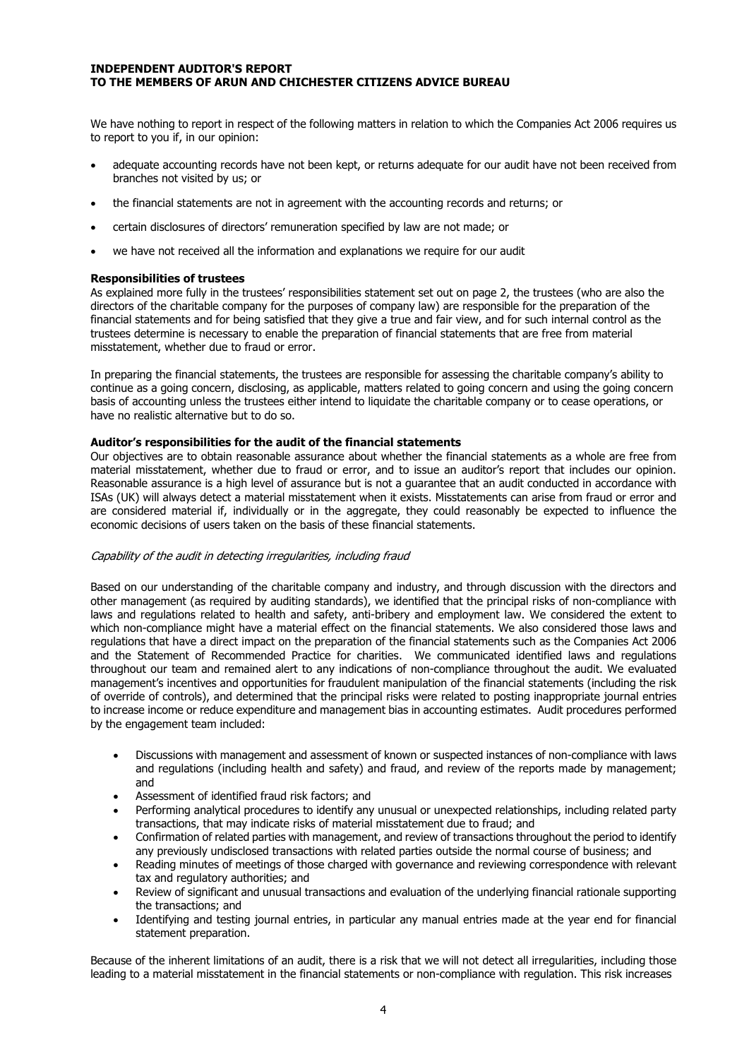### **INDEPENDENT AUDITOR'S REPORT TO THE MEMBERS OF ARUN AND CHICHESTER CITIZENS ADVICE BUREAU**

We have nothing to report in respect of the following matters in relation to which the Companies Act 2006 requires us to report to you if, in our opinion:

- adequate accounting records have not been kept, or returns adequate for our audit have not been received from branches not visited by us; or
- the financial statements are not in agreement with the accounting records and returns; or
- certain disclosures of directors' remuneration specified by law are not made; or
- we have not received all the information and explanations we require for our audit

#### **Responsibilities of trustees**

As explained more fully in the trustees' responsibilities statement set out on page 2, the trustees (who are also the directors of the charitable company for the purposes of company law) are responsible for the preparation of the financial statements and for being satisfied that they give a true and fair view, and for such internal control as the trustees determine is necessary to enable the preparation of financial statements that are free from material misstatement, whether due to fraud or error.

In preparing the financial statements, the trustees are responsible for assessing the charitable company's ability to continue as a going concern, disclosing, as applicable, matters related to going concern and using the going concern basis of accounting unless the trustees either intend to liquidate the charitable company or to cease operations, or have no realistic alternative but to do so.

#### **Auditor's responsibilities for the audit of the financial statements**

Our objectives are to obtain reasonable assurance about whether the financial statements as a whole are free from material misstatement, whether due to fraud or error, and to issue an auditor's report that includes our opinion. Reasonable assurance is a high level of assurance but is not a guarantee that an audit conducted in accordance with ISAs (UK) will always detect a material misstatement when it exists. Misstatements can arise from fraud or error and are considered material if, individually or in the aggregate, they could reasonably be expected to influence the economic decisions of users taken on the basis of these financial statements.

### Capability of the audit in detecting irregularities, including fraud

Based on our understanding of the charitable company and industry, and through discussion with the directors and other management (as required by auditing standards), we identified that the principal risks of non-compliance with laws and regulations related to health and safety, anti-bribery and employment law. We considered the extent to which non-compliance might have a material effect on the financial statements. We also considered those laws and regulations that have a direct impact on the preparation of the financial statements such as the Companies Act 2006 and the Statement of Recommended Practice for charities. We communicated identified laws and regulations throughout our team and remained alert to any indications of non-compliance throughout the audit. We evaluated management's incentives and opportunities for fraudulent manipulation of the financial statements (including the risk of override of controls), and determined that the principal risks were related to posting inappropriate journal entries to increase income or reduce expenditure and management bias in accounting estimates. Audit procedures performed by the engagement team included:

- Discussions with management and assessment of known or suspected instances of non-compliance with laws and regulations (including health and safety) and fraud, and review of the reports made by management; and
- Assessment of identified fraud risk factors; and
- Performing analytical procedures to identify any unusual or unexpected relationships, including related party transactions, that may indicate risks of material misstatement due to fraud; and
- Confirmation of related parties with management, and review of transactions throughout the period to identify any previously undisclosed transactions with related parties outside the normal course of business; and
- Reading minutes of meetings of those charged with governance and reviewing correspondence with relevant tax and regulatory authorities; and
- Review of significant and unusual transactions and evaluation of the underlying financial rationale supporting the transactions; and
- Identifying and testing journal entries, in particular any manual entries made at the year end for financial statement preparation.

Because of the inherent limitations of an audit, there is a risk that we will not detect all irregularities, including those leading to a material misstatement in the financial statements or non-compliance with regulation. This risk increases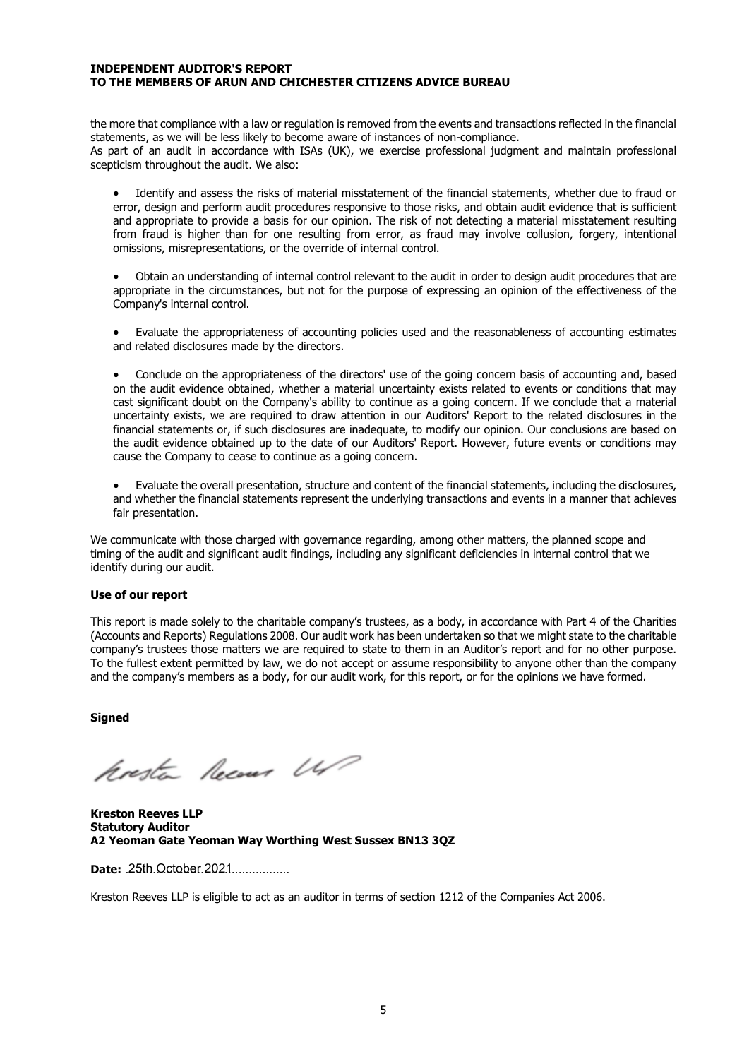#### **INDEPENDENT AUDITOR'S REPORT TO THE MEMBERS OF ARUN AND CHICHESTER CITIZENS ADVICE BUREAU**

the more that compliance with a law or regulation is removed from the events and transactions reflected in the financial statements, as we will be less likely to become aware of instances of non-compliance. As part of an audit in accordance with ISAs (UK), we exercise professional judgment and maintain professional scepticism throughout the audit. We also:

- Identify and assess the risks of material misstatement of the financial statements, whether due to fraud or error, design and perform audit procedures responsive to those risks, and obtain audit evidence that is sufficient and appropriate to provide a basis for our opinion. The risk of not detecting a material misstatement resulting from fraud is higher than for one resulting from error, as fraud may involve collusion, forgery, intentional omissions, misrepresentations, or the override of internal control.
- Obtain an understanding of internal control relevant to the audit in order to design audit procedures that are appropriate in the circumstances, but not for the purpose of expressing an opinion of the effectiveness of the Company's internal control.
- Evaluate the appropriateness of accounting policies used and the reasonableness of accounting estimates and related disclosures made by the directors.
- Conclude on the appropriateness of the directors' use of the going concern basis of accounting and, based on the audit evidence obtained, whether a material uncertainty exists related to events or conditions that may cast significant doubt on the Company's ability to continue as a going concern. If we conclude that a material uncertainty exists, we are required to draw attention in our Auditors' Report to the related disclosures in the financial statements or, if such disclosures are inadequate, to modify our opinion. Our conclusions are based on the audit evidence obtained up to the date of our Auditors' Report. However, future events or conditions may cause the Company to cease to continue as a going concern.
- Evaluate the overall presentation, structure and content of the financial statements, including the disclosures, and whether the financial statements represent the underlying transactions and events in a manner that achieves fair presentation.

We communicate with those charged with governance regarding, among other matters, the planned scope and timing of the audit and significant audit findings, including any significant deficiencies in internal control that we identify during our audit.

### **Use of our report**

This report is made solely to the charitable company's trustees, as a body, in accordance with Part 4 of the Charities (Accounts and Reports) Regulations 2008. Our audit work has been undertaken so that we might state to the charitable company's trustees those matters we are required to state to them in an Auditor's report and for no other purpose. To the fullest extent permitted by law, we do not accept or assume responsibility to anyone other than the company and the company's members as a body, for our audit work, for this report, or for the opinions we have formed.

**Signed** 

Kresta Recour UP

**Kreston Reeves LLP Statutory Auditor A2 Yeoman Gate Yeoman Way Worthing West Sussex BN13 3QZ** 

**Date:** ………………………………………… 25th October 2021

Kreston Reeves LLP is eligible to act as an auditor in terms of section 1212 of the Companies Act 2006.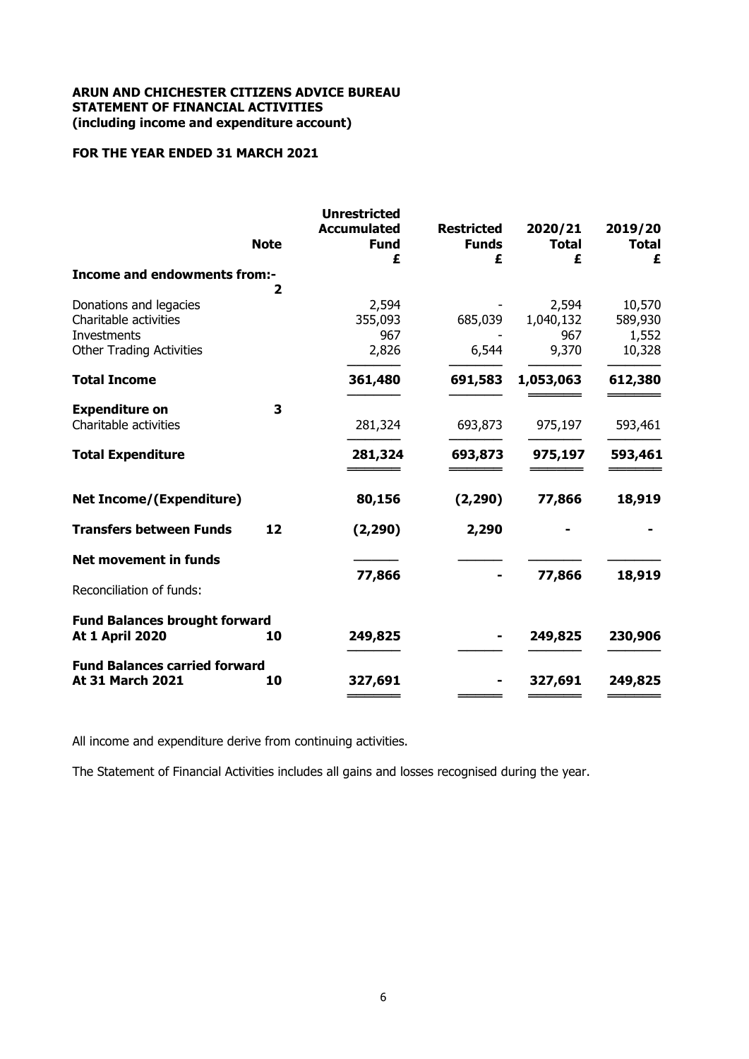## **ARUN AND CHICHESTER CITIZENS ADVICE BUREAU STATEMENT OF FINANCIAL ACTIVITIES (including income and expenditure account)**

# **FOR THE YEAR ENDED 31 MARCH 2021**

|                                      | <b>Note</b> | <b>Unrestricted</b><br><b>Accumulated</b><br><b>Fund</b> | <b>Restricted</b><br><b>Funds</b> | 2020/21<br><b>Total</b> | 2019/20<br>Total |
|--------------------------------------|-------------|----------------------------------------------------------|-----------------------------------|-------------------------|------------------|
|                                      |             | £                                                        | £                                 | £                       | £                |
| <b>Income and endowments from:-</b>  |             |                                                          |                                   |                         |                  |
|                                      | 2           |                                                          |                                   |                         |                  |
| Donations and legacies               |             | 2,594                                                    |                                   | 2,594                   | 10,570           |
| Charitable activities                |             | 355,093                                                  | 685,039                           | 1,040,132               | 589,930          |
| Investments                          |             | 967                                                      |                                   | 967                     | 1,552            |
| <b>Other Trading Activities</b>      |             | 2,826                                                    | 6,544                             | 9,370                   | 10,328           |
| <b>Total Income</b>                  |             | 361,480                                                  | 691,583                           | 1,053,063               | 612,380          |
| <b>Expenditure on</b>                | 3           |                                                          |                                   |                         |                  |
| Charitable activities                |             | 281,324                                                  | 693,873                           | 975,197                 | 593,461          |
| <b>Total Expenditure</b>             |             | 281,324                                                  | 693,873                           | 975,197                 | 593,461          |
| <b>Net Income/(Expenditure)</b>      |             | 80,156                                                   | (2, 290)                          | 77,866                  | 18,919           |
| <b>Transfers between Funds</b>       | 12          | (2, 290)                                                 | 2,290                             |                         |                  |
| <b>Net movement in funds</b>         |             | 77,866                                                   |                                   | 77,866                  | 18,919           |
| Reconciliation of funds:             |             |                                                          |                                   |                         |                  |
| <b>Fund Balances brought forward</b> |             |                                                          |                                   |                         |                  |
| <b>At 1 April 2020</b>               | 10          | 249,825                                                  |                                   | 249,825                 | 230,906          |
|                                      |             |                                                          |                                   |                         |                  |
| At 31 March 2021                     | 10          | 327,691                                                  |                                   | 327,691                 | 249,825          |
| <b>Fund Balances carried forward</b> |             |                                                          |                                   |                         |                  |

All income and expenditure derive from continuing activities.

The Statement of Financial Activities includes all gains and losses recognised during the year.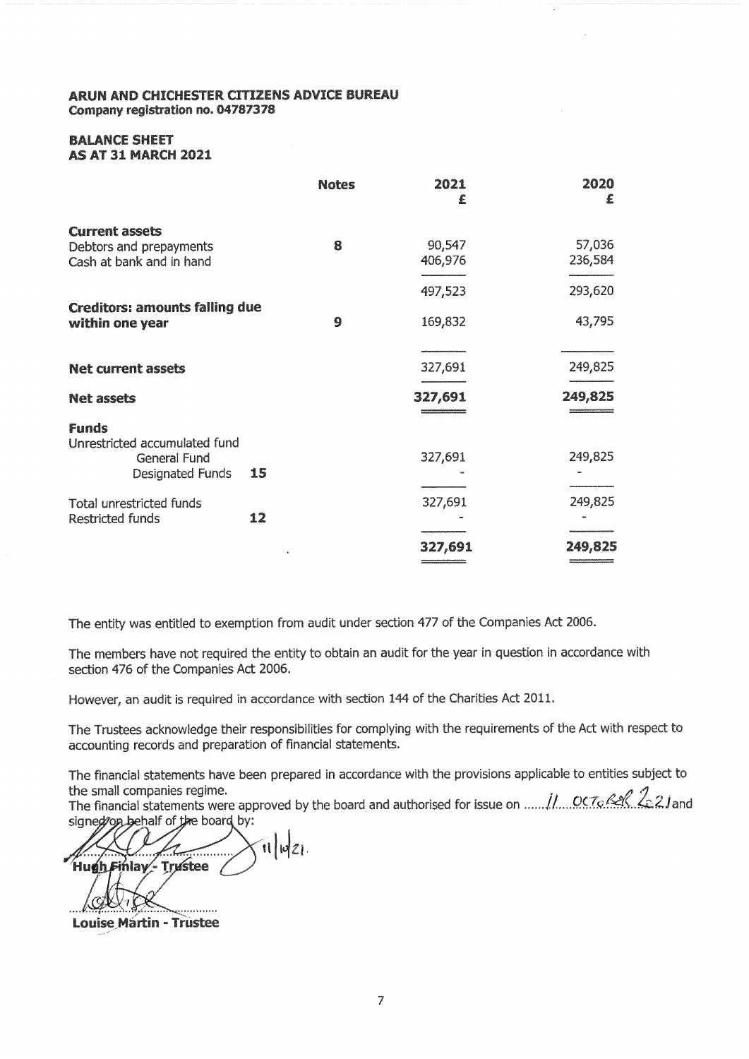### ARUN AND CHICHESTER CITIZENS ADVICE BUREAU Company registration no. 04787378

## **BALANCE SHEET AS AT 31 MARCH 2021**

|                                                  | <b>Notes</b> | 2021<br>£ | 2020<br>£         |
|--------------------------------------------------|--------------|-----------|-------------------|
| <b>Current assets</b><br>Debtors and prepayments | 8            | 90,547    | 57,036<br>236,584 |
| Cash at bank and in hand                         |              | 406,976   |                   |
| <b>Creditors: amounts falling due</b>            |              | 497,523   | 293,620           |
| within one year                                  | 9            | 169,832   | 43,795            |
|                                                  |              |           |                   |
| <b>Net current assets</b>                        |              | 327,691   | 249,825           |
| <b>Net assets</b>                                |              | 327,691   | 249,825           |
| <b>Funds</b><br>Unrestricted accumulated fund    |              |           |                   |
| <b>General Fund</b>                              |              | 327,691   | 249,825           |
| Designated Funds                                 | 15           |           |                   |
| Total unrestricted funds                         |              | 327,691   | 249,825           |
| <b>Restricted funds</b>                          | 12           |           |                   |
|                                                  |              | 327,691   | 249,825           |

The entity was entitled to exemption from audit under section 477 of the Companies Act 2006.

The members have not required the entity to obtain an audit for the year in question in accordance with section 476 of the Companies Act 2006.

However, an audit is required in accordance with section 144 of the Charities Act 2011.

The Trustees acknowledge their responsibilities for complying with the requirements of the Act with respect to accounting records and preparation of financial statements.

The financial statements have been prepared in accordance with the provisions applicable to entities subject to the small companies regime.

1'li ~i\_~I Staten ~r is ~v r~ rev ~ ~ rd t~ c~ iris fir issue ~~ .~~...~Ce...~C;~~. .~~1 r~

 $\ell$  $\eta$   $|u|z$ . ,, ~ n <u>Hugh Jahuay - Truste</u> r~ P~

Louise Martin - Trustee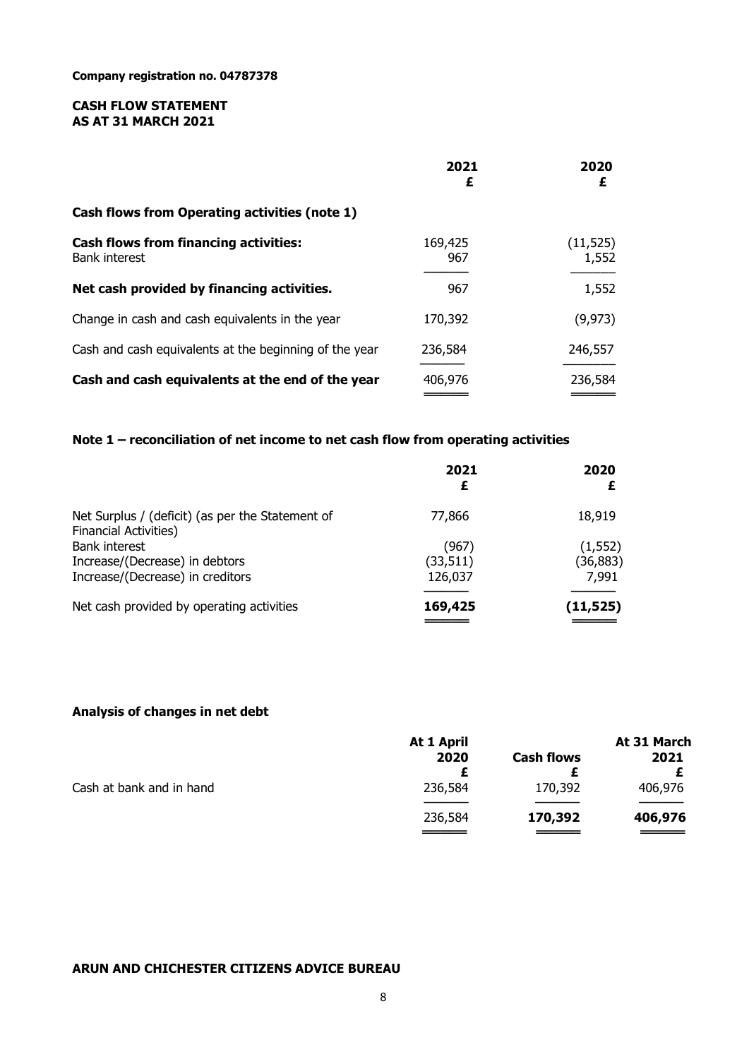## **CASH FLOW STATEMENT AS AT 31 MARCH 2021**

|                                                                      | 2021<br>£      | 2020<br>£          |
|----------------------------------------------------------------------|----------------|--------------------|
| <b>Cash flows from Operating activities (note 1)</b>                 |                |                    |
| <b>Cash flows from financing activities:</b><br><b>Bank interest</b> | 169,425<br>967 | (11, 525)<br>1,552 |
| Net cash provided by financing activities.                           | 967            | 1,552              |
| Change in cash and cash equivalents in the year                      | 170,392        | (9, 973)           |
| Cash and cash equivalents at the beginning of the year               | 236,584        | 246,557            |
| Cash and cash equivalents at the end of the year                     | 406,976        | 236,584            |

# **Note 1 – reconciliation of net income to net cash flow from operating activities**

|                                                                                  | 2021<br>£ | 2020<br>£ |
|----------------------------------------------------------------------------------|-----------|-----------|
| Net Surplus / (deficit) (as per the Statement of<br><b>Financial Activities)</b> | 77,866    | 18,919    |
| <b>Bank interest</b>                                                             | (967)     | (1, 552)  |
| Increase/(Decrease) in debtors                                                   | (33, 511) | (36, 883) |
| Increase/(Decrease) in creditors                                                 | 126,037   | 7,991     |
| Net cash provided by operating activities                                        | 169,425   | (11, 525) |

# **Analysis of changes in net debt**

|                          | At 1 April |                   | At 31 March |
|--------------------------|------------|-------------------|-------------|
|                          | 2020       | <b>Cash flows</b> | 2021        |
|                          |            |                   |             |
| Cash at bank and in hand | 236,584    | 170,392           | 406,976     |
|                          |            |                   |             |
|                          | 236,584    | 170,392           | 406,976     |
|                          |            |                   | _____       |

## **ARUN AND CHICHESTER CITIZENS ADVICE BUREAU**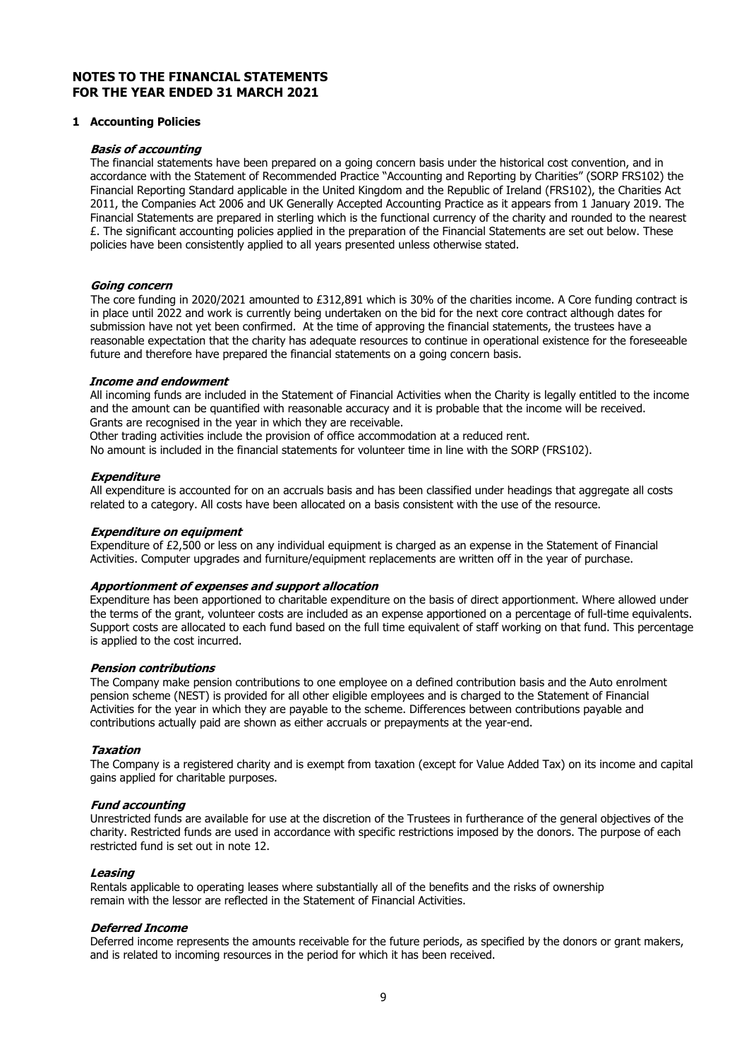## **NOTES TO THE FINANCIAL STATEMENTS FOR THE YEAR ENDED 31 MARCH 2021**

### **1 Accounting Policies**

#### **Basis of accounting**

 The financial statements have been prepared on a going concern basis under the historical cost convention, and in accordance with the Statement of Recommended Practice "Accounting and Reporting by Charities" (SORP FRS102) the Financial Reporting Standard applicable in the United Kingdom and the Republic of Ireland (FRS102), the Charities Act 2011, the Companies Act 2006 and UK Generally Accepted Accounting Practice as it appears from 1 January 2019. The Financial Statements are prepared in sterling which is the functional currency of the charity and rounded to the nearest £. The significant accounting policies applied in the preparation of the Financial Statements are set out below. These policies have been consistently applied to all years presented unless otherwise stated.

#### **Going concern**

 The core funding in 2020/2021 amounted to £312,891 which is 30% of the charities income. A Core funding contract is in place until 2022 and work is currently being undertaken on the bid for the next core contract although dates for submission have not yet been confirmed. At the time of approving the financial statements, the trustees have a reasonable expectation that the charity has adequate resources to continue in operational existence for the foreseeable future and therefore have prepared the financial statements on a going concern basis.

#### **Income and endowment**

 All incoming funds are included in the Statement of Financial Activities when the Charity is legally entitled to the income and the amount can be quantified with reasonable accuracy and it is probable that the income will be received. Grants are recognised in the year in which they are receivable.

Other trading activities include the provision of office accommodation at a reduced rent.

No amount is included in the financial statements for volunteer time in line with the SORP (FRS102).

#### **Expenditure**

All expenditure is accounted for on an accruals basis and has been classified under headings that aggregate all costs related to a category. All costs have been allocated on a basis consistent with the use of the resource.

#### **Expenditure on equipment**

 Expenditure of £2,500 or less on any individual equipment is charged as an expense in the Statement of Financial Activities. Computer upgrades and furniture/equipment replacements are written off in the year of purchase.

### **Apportionment of expenses and support allocation**

 Expenditure has been apportioned to charitable expenditure on the basis of direct apportionment. Where allowed under the terms of the grant, volunteer costs are included as an expense apportioned on a percentage of full-time equivalents. Support costs are allocated to each fund based on the full time equivalent of staff working on that fund. This percentage is applied to the cost incurred.

#### **Pension contributions**

 The Company make pension contributions to one employee on a defined contribution basis and the Auto enrolment pension scheme (NEST) is provided for all other eligible employees and is charged to the Statement of Financial Activities for the year in which they are payable to the scheme. Differences between contributions payable and contributions actually paid are shown as either accruals or prepayments at the year-end.

#### **Taxation**

The Company is a registered charity and is exempt from taxation (except for Value Added Tax) on its income and capital gains applied for charitable purposes.

### **Fund accounting**

 Unrestricted funds are available for use at the discretion of the Trustees in furtherance of the general objectives of the charity. Restricted funds are used in accordance with specific restrictions imposed by the donors. The purpose of each restricted fund is set out in note 12.

#### **Leasing**

Rentals applicable to operating leases where substantially all of the benefits and the risks of ownership remain with the lessor are reflected in the Statement of Financial Activities.

#### **Deferred Income**

Deferred income represents the amounts receivable for the future periods, as specified by the donors or grant makers, and is related to incoming resources in the period for which it has been received.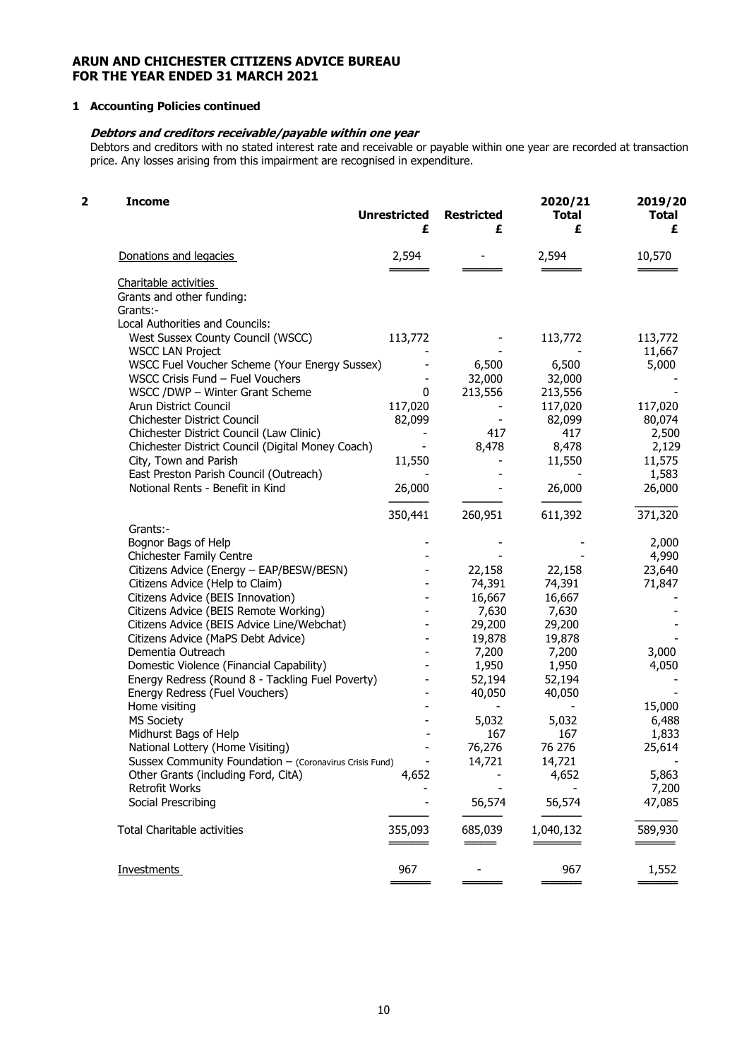## **ARUN AND CHICHESTER CITIZENS ADVICE BUREAU FOR THE YEAR ENDED 31 MARCH 2021**

### **1 Accounting Policies continued**

#### **Debtors and creditors receivable/payable within one year**

Debtors and creditors with no stated interest rate and receivable or payable within one year are recorded at transaction price. Any losses arising from this impairment are recognised in expenditure.

| $\mathbf{2}$ | <b>Income</b>                                                                      | <b>Unrestricted</b><br>£ | <b>Restricted</b><br>£   | 2020/21<br><b>Total</b><br>£ | 2019/20<br><b>Total</b><br>£ |
|--------------|------------------------------------------------------------------------------------|--------------------------|--------------------------|------------------------------|------------------------------|
|              |                                                                                    |                          |                          |                              |                              |
|              | Donations and legacies                                                             | 2,594                    |                          | 2,594                        | 10,570                       |
|              | Charitable activities                                                              |                          |                          |                              |                              |
|              | Grants and other funding:                                                          |                          |                          |                              |                              |
|              | Grants:-                                                                           |                          |                          |                              |                              |
|              | Local Authorities and Councils:                                                    |                          |                          |                              |                              |
|              | West Sussex County Council (WSCC)                                                  | 113,772                  |                          | 113,772                      | 113,772                      |
|              | <b>WSCC LAN Project</b>                                                            |                          |                          |                              | 11,667                       |
|              | WSCC Fuel Voucher Scheme (Your Energy Sussex)                                      |                          | 6,500                    | 6,500                        | 5,000                        |
|              | WSCC Crisis Fund - Fuel Vouchers                                                   |                          | 32,000                   | 32,000                       |                              |
|              | WSCC / DWP - Winter Grant Scheme                                                   | 0                        | 213,556                  | 213,556                      |                              |
|              | Arun District Council                                                              | 117,020                  |                          | 117,020                      | 117,020                      |
|              | <b>Chichester District Council</b>                                                 | 82,099                   | $\overline{\phantom{a}}$ | 82,099                       | 80,074                       |
|              | Chichester District Council (Law Clinic)                                           |                          | 417                      | 417                          | 2,500                        |
|              | Chichester District Council (Digital Money Coach)                                  |                          | 8,478                    | 8,478                        | 2,129                        |
|              | City, Town and Parish                                                              | 11,550                   |                          | 11,550                       | 11,575                       |
|              | East Preston Parish Council (Outreach)                                             |                          |                          |                              | 1,583                        |
|              | Notional Rents - Benefit in Kind                                                   | 26,000                   |                          | 26,000                       | 26,000                       |
|              |                                                                                    | 350,441                  | 260,951                  | 611,392                      | 371,320                      |
|              | Grants:-                                                                           |                          |                          |                              |                              |
|              | Bognor Bags of Help                                                                |                          |                          |                              | 2,000                        |
|              | Chichester Family Centre                                                           |                          |                          |                              | 4,990                        |
|              | Citizens Advice (Energy - EAP/BESW/BESN)                                           |                          | 22,158                   | 22,158                       | 23,640                       |
|              | Citizens Advice (Help to Claim)                                                    |                          | 74,391                   | 74,391                       | 71,847                       |
|              | Citizens Advice (BEIS Innovation)                                                  |                          | 16,667                   | 16,667                       |                              |
|              | Citizens Advice (BEIS Remote Working)                                              |                          | 7,630                    | 7,630                        |                              |
|              | Citizens Advice (BEIS Advice Line/Webchat)                                         |                          | 29,200                   | 29,200                       |                              |
|              | Citizens Advice (MaPS Debt Advice)                                                 |                          | 19,878                   | 19,878                       |                              |
|              | Dementia Outreach                                                                  |                          | 7,200                    | 7,200                        | 3,000                        |
|              | Domestic Violence (Financial Capability)                                           |                          | 1,950                    | 1,950<br>52,194              | 4,050                        |
|              | Energy Redress (Round 8 - Tackling Fuel Poverty)<br>Energy Redress (Fuel Vouchers) |                          | 52,194<br>40,050         | 40,050                       |                              |
|              | Home visiting                                                                      |                          | $\sim$                   | $\sim$                       | 15,000                       |
|              | <b>MS Society</b>                                                                  |                          | 5,032                    | 5,032                        | 6,488                        |
|              | Midhurst Bags of Help                                                              |                          | 167                      | 167                          | 1,833                        |
|              | National Lottery (Home Visiting)                                                   |                          | 76,276                   | 76 276                       | 25,614                       |
|              | Sussex Community Foundation - (Coronavirus Crisis Fund)                            |                          | 14,721                   | 14,721                       |                              |
|              | Other Grants (including Ford, CitA)                                                | 4,652                    |                          | 4,652                        | 5,863                        |
|              | <b>Retrofit Works</b>                                                              |                          |                          |                              | 7,200                        |
|              | Social Prescribing                                                                 |                          | 56,574                   | 56,574                       | 47,085                       |
|              |                                                                                    |                          |                          |                              |                              |
|              | <b>Total Charitable activities</b>                                                 | 355,093                  | 685,039                  | 1,040,132                    | 589,930                      |
|              | <b>Investments</b>                                                                 | 967                      |                          | 967                          | 1,552                        |
|              |                                                                                    |                          |                          |                              |                              |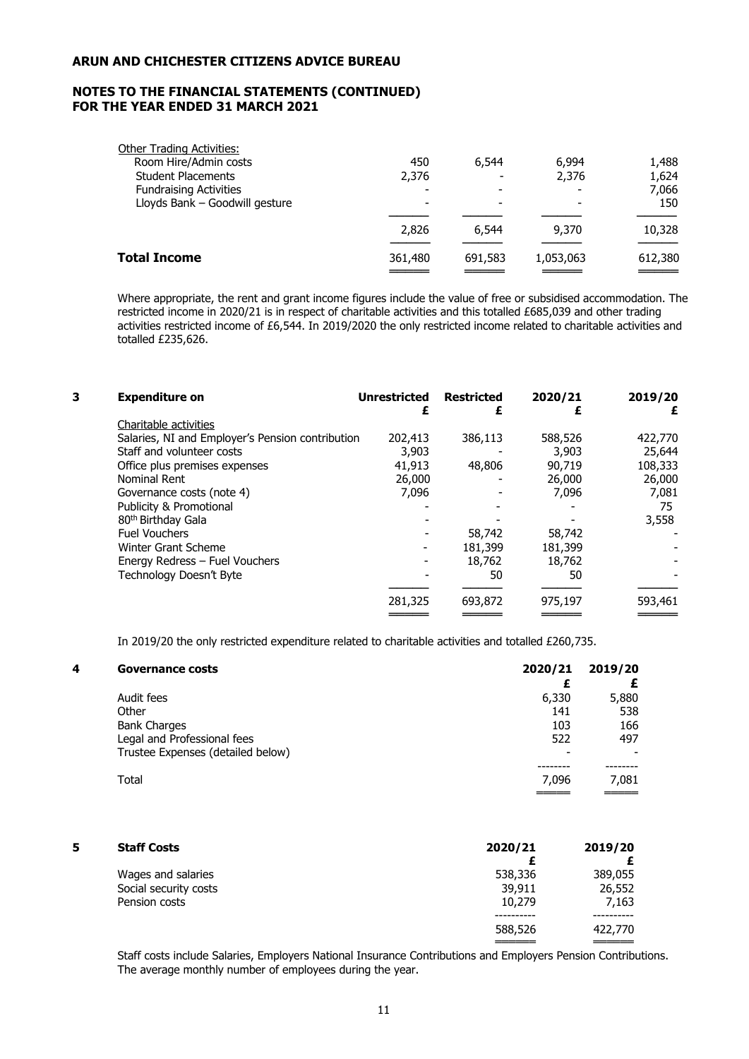## **NOTES TO THE FINANCIAL STATEMENTS (CONTINUED) FOR THE YEAR ENDED 31 MARCH 2021**

| <b>Other Trading Activities:</b> |                          |                          |           |                                           |
|----------------------------------|--------------------------|--------------------------|-----------|-------------------------------------------|
| Room Hire/Admin costs            | 450                      | 6,544                    | 6,994     | 1,488                                     |
| <b>Student Placements</b>        | 2,376                    | $\overline{\phantom{0}}$ | 2,376     | 1,624                                     |
| <b>Fundraising Activities</b>    | $\overline{\phantom{0}}$ | ۰                        |           | 7,066                                     |
| Lloyds Bank - Goodwill gesture   | $\overline{\phantom{0}}$ | $\overline{\phantom{0}}$ |           | 150                                       |
|                                  |                          |                          |           |                                           |
|                                  | 2,826                    | 6,544                    | 9,370     | 10,328                                    |
| <b>Total Income</b>              |                          |                          |           |                                           |
|                                  | 361,480                  | 691,583                  | 1,053,063 | 612,380                                   |
|                                  |                          |                          |           | $\qquad \qquad \overline{\qquad \qquad }$ |

Where appropriate, the rent and grant income figures include the value of free or subsidised accommodation. The restricted income in 2020/21 is in respect of charitable activities and this totalled £685,039 and other trading activities restricted income of £6,544. In 2019/2020 the only restricted income related to charitable activities and totalled £235,626.

| 3 | <b>Expenditure on</b>                            | <b>Unrestricted</b> | <b>Restricted</b> | 2020/21 | 2019/20 |
|---|--------------------------------------------------|---------------------|-------------------|---------|---------|
|   | Charitable activities                            |                     |                   |         |         |
|   | Salaries, NI and Employer's Pension contribution | 202,413             | 386,113           | 588,526 | 422,770 |
|   | Staff and volunteer costs                        | 3,903               |                   | 3,903   | 25,644  |
|   | Office plus premises expenses                    | 41,913              | 48,806            | 90,719  | 108,333 |
|   | Nominal Rent                                     | 26,000              |                   | 26,000  | 26,000  |
|   | Governance costs (note 4)                        | 7,096               |                   | 7,096   | 7,081   |
|   | Publicity & Promotional                          |                     |                   |         | 75      |
|   | 80 <sup>th</sup> Birthday Gala                   |                     |                   |         | 3,558   |
|   | <b>Fuel Vouchers</b>                             |                     | 58,742            | 58,742  |         |
|   | Winter Grant Scheme                              |                     | 181,399           | 181,399 |         |
|   | Energy Redress - Fuel Vouchers                   |                     | 18,762            | 18,762  |         |
|   | Technology Doesn't Byte                          |                     | 50                | 50      |         |
|   |                                                  |                     |                   |         |         |
|   |                                                  | 281,325             | 693,872           | 975,197 | 593,461 |
|   |                                                  |                     |                   |         |         |

In 2019/20 the only restricted expenditure related to charitable activities and totalled £260,735.

| 4 | <b>Governance costs</b>           | 2020/21<br>£ | 2019/20 |
|---|-----------------------------------|--------------|---------|
|   | Audit fees                        | 6,330        | 5,880   |
|   | Other                             | 141          | 538     |
|   | <b>Bank Charges</b>               | 103          | 166     |
|   | Legal and Professional fees       | 522          | 497     |
|   | Trustee Expenses (detailed below) |              |         |
|   |                                   |              |         |
|   | Total                             | 7.096        | 7,081   |
|   |                                   |              |         |

| 5 | <b>Staff Costs</b>    | 2020/21 | 2019/20 |
|---|-----------------------|---------|---------|
|   |                       |         |         |
|   | Wages and salaries    | 538,336 | 389,055 |
|   | Social security costs | 39,911  | 26,552  |
|   | Pension costs         | 10,279  | 7,163   |
|   |                       |         |         |
|   |                       | 588,526 | 422,770 |
|   |                       | _______ | ______  |

Staff costs include Salaries, Employers National Insurance Contributions and Employers Pension Contributions. The average monthly number of employees during the year.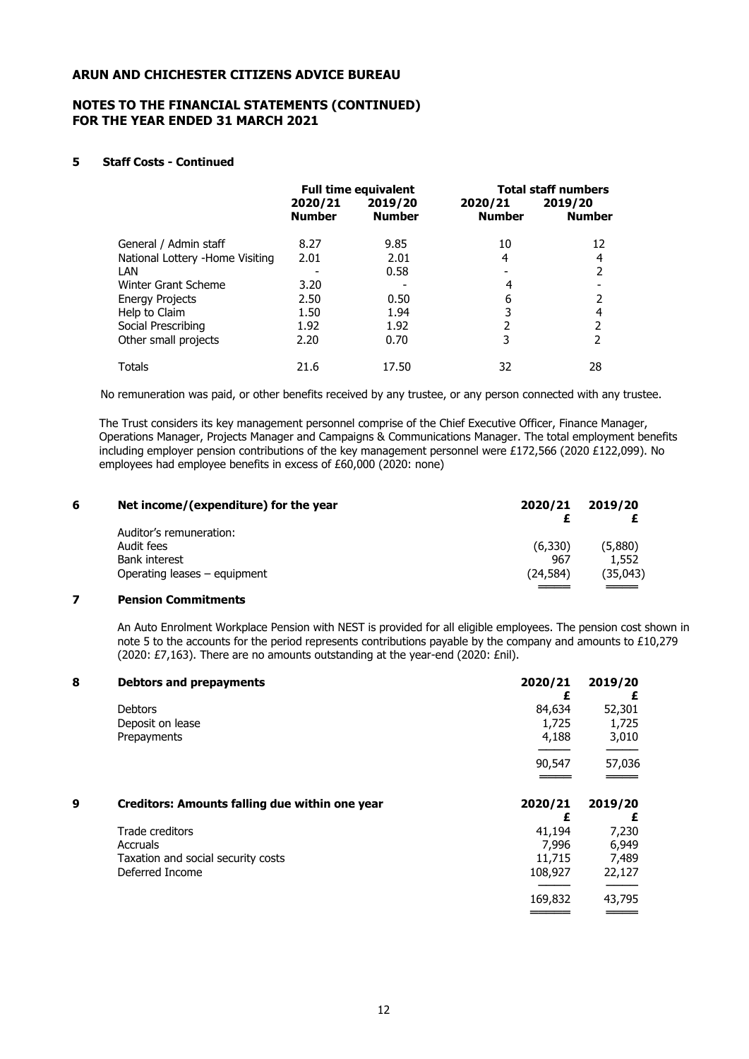## **NOTES TO THE FINANCIAL STATEMENTS (CONTINUED) FOR THE YEAR ENDED 31 MARCH 2021**

### **5 Staff Costs - Continued**

|                                  | <b>Full time equivalent</b> |                          |                          | <b>Total staff numbers</b> |
|----------------------------------|-----------------------------|--------------------------|--------------------------|----------------------------|
|                                  | 2020/21<br><b>Number</b>    | 2019/20<br><b>Number</b> | 2020/21<br><b>Number</b> | 2019/20<br><b>Number</b>   |
| General / Admin staff            | 8.27                        | 9.85                     | 10                       | 12                         |
| National Lottery - Home Visiting | 2.01                        | 2.01                     | 4                        | 4                          |
| LAN                              |                             | 0.58                     |                          | 2                          |
| Winter Grant Scheme              | 3.20                        |                          | 4                        |                            |
| <b>Energy Projects</b>           | 2.50                        | 0.50                     | 6                        | 2                          |
| Help to Claim                    | 1.50                        | 1.94                     | 3                        | 4                          |
| Social Prescribing               | 1.92                        | 1.92                     | 2                        | 2                          |
| Other small projects             | 2.20                        | 0.70                     | 3                        | 2                          |
| Totals                           | 21.6                        | 17.50                    | 32                       | 28                         |

No remuneration was paid, or other benefits received by any trustee, or any person connected with any trustee.

The Trust considers its key management personnel comprise of the Chief Executive Officer, Finance Manager, Operations Manager, Projects Manager and Campaigns & Communications Manager. The total employment benefits including employer pension contributions of the key management personnel were £172,566 (2020 £122,099). No employees had employee benefits in excess of £60,000 (2020: none)

| 6 | Net income/(expenditure) for the year | 2020/21   | 2019/20  |
|---|---------------------------------------|-----------|----------|
|   | Auditor's remuneration:               |           |          |
|   | Audit fees                            | (6, 330)  | (5,880)  |
|   | <b>Bank interest</b>                  | 967       | 1,552    |
|   | Operating leases – equipment          | (24, 584) | (35,043) |
|   |                                       |           | $-$      |

# **7 Pension Commitments**

An Auto Enrolment Workplace Pension with NEST is provided for all eligible employees. The pension cost shown in note 5 to the accounts for the period represents contributions payable by the company and amounts to £10,279 (2020: £7,163). There are no amounts outstanding at the year-end (2020: £nil).

| 8 | <b>Debtors and prepayments</b>                 | 2020/21<br>£ | 2019/20<br>£ |
|---|------------------------------------------------|--------------|--------------|
|   | <b>Debtors</b>                                 | 84,634       | 52,301       |
|   | Deposit on lease                               | 1,725        | 1,725        |
|   | Prepayments                                    | 4,188        | 3,010        |
|   |                                                |              |              |
|   |                                                | 90,547       | 57,036       |
|   |                                                |              |              |
| 9 | Creditors: Amounts falling due within one year | 2020/21      | 2019/20      |
|   |                                                | £            | £            |
|   | Trade creditors                                | 41,194       | 7,230        |
|   | Accruals                                       | 7,996        | 6,949        |
|   |                                                |              |              |
|   | Taxation and social security costs             | 11,715       | 7,489        |
|   | Deferred Income                                | 108,927      | 22,127       |
|   |                                                | 169,832      | 43,795       |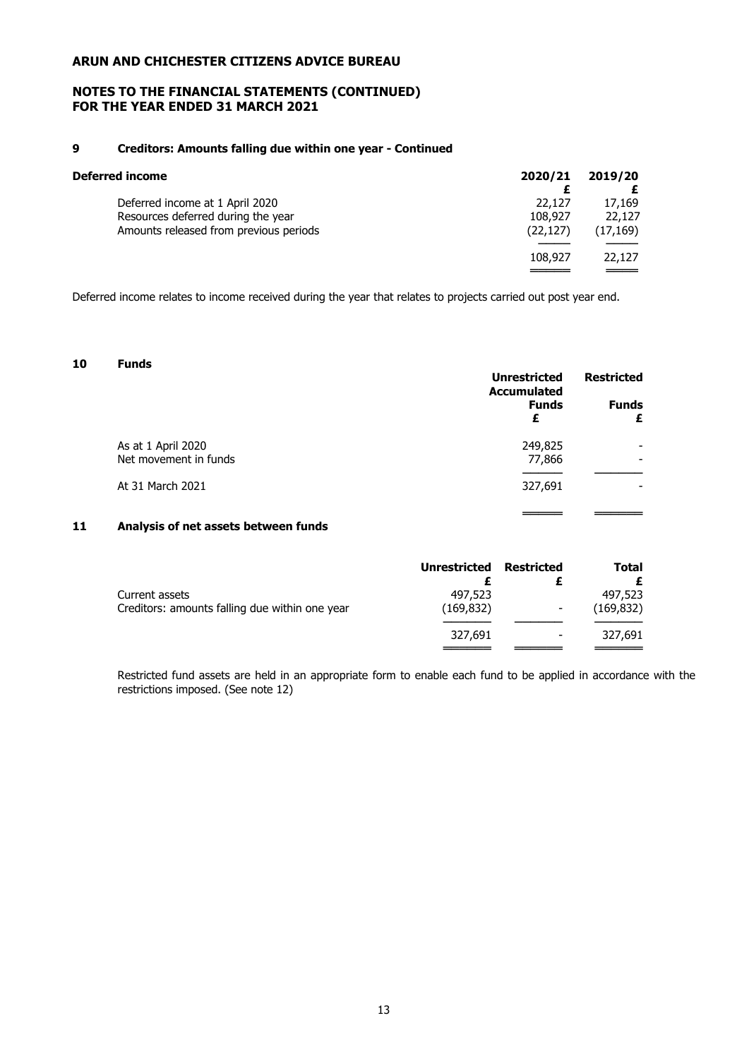## **NOTES TO THE FINANCIAL STATEMENTS (CONTINUED) FOR THE YEAR ENDED 31 MARCH 2021**

## **9 Creditors: Amounts falling due within one year - Continued**

| Deferred income                        | 2020/21   | 2019/20   |  |
|----------------------------------------|-----------|-----------|--|
|                                        |           |           |  |
| Deferred income at 1 April 2020        | 22,127    | 17,169    |  |
| Resources deferred during the year     | 108,927   | 22,127    |  |
| Amounts released from previous periods | (22, 127) | (17, 169) |  |
|                                        | 108,927   | 22,127    |  |
|                                        |           |           |  |

Deferred income relates to income received during the year that relates to projects carried out post year end.

#### **10 Funds**

|                       | <b>Unrestricted</b><br><b>Accumulated</b> | <b>Restricted</b> |  |
|-----------------------|-------------------------------------------|-------------------|--|
|                       | <b>Funds</b><br>£                         | <b>Funds</b><br>£ |  |
| As at 1 April 2020    | 249,825                                   |                   |  |
| Net movement in funds | 77,866                                    | -                 |  |
| At 31 March 2021      | 327,691                                   |                   |  |
|                       |                                           |                   |  |

### **11 Analysis of net assets between funds**

|                                                | <b>Unrestricted</b> | Restricted               | Total      |
|------------------------------------------------|---------------------|--------------------------|------------|
| Current assets                                 | 497,523             |                          | 497,523    |
| Creditors: amounts falling due within one year | (169, 832)          | $\overline{\phantom{a}}$ | (169, 832) |
|                                                |                     |                          |            |
|                                                | 327,691             | ۰                        | 327,691    |
|                                                |                     |                          |            |

Restricted fund assets are held in an appropriate form to enable each fund to be applied in accordance with the restrictions imposed. (See note 12)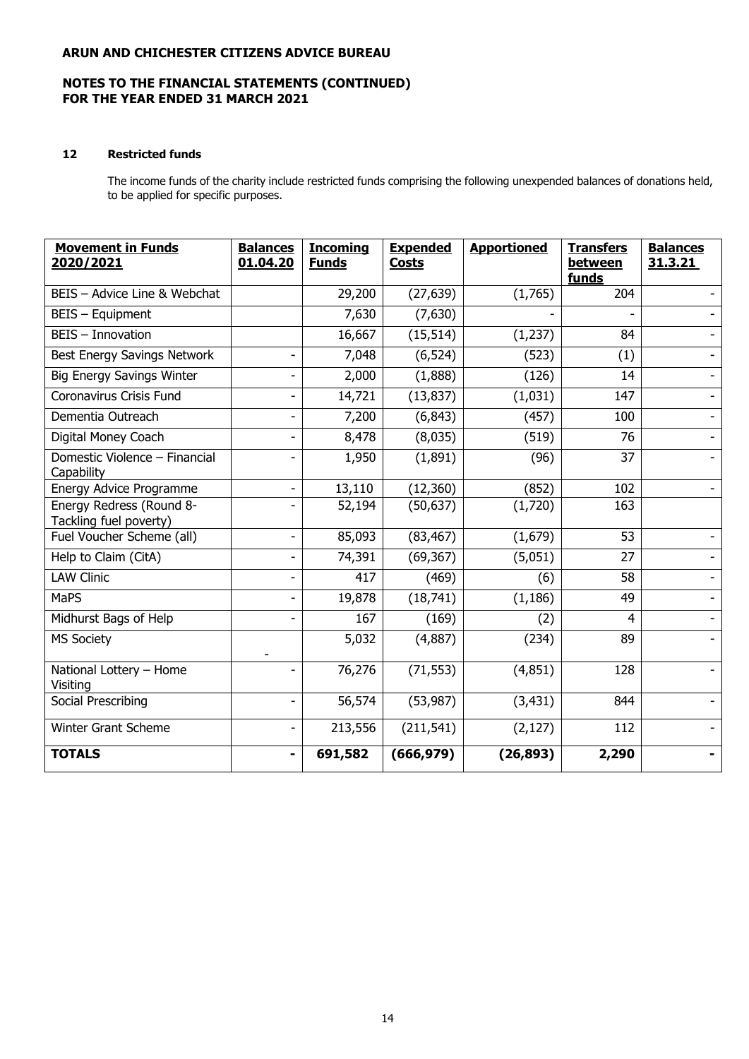# **NOTES TO THE FINANCIAL STATEMENTS (CONTINUED) FOR THE YEAR ENDED 31 MARCH 2021**

## **12 Restricted funds**

 The income funds of the charity include restricted funds comprising the following unexpended balances of donations held, to be applied for specific purposes.

| <b>Movement in Funds</b><br>2020/2021              | <b>Balances</b><br>01.04.20 | <b>Incoming</b><br><b>Funds</b> | <b>Expended</b><br><b>Costs</b> | <b>Apportioned</b> | <b>Transfers</b><br>between<br>funds | <b>Balances</b><br>31.3.21 |
|----------------------------------------------------|-----------------------------|---------------------------------|---------------------------------|--------------------|--------------------------------------|----------------------------|
| BEIS - Advice Line & Webchat                       |                             | 29,200                          | (27, 639)                       | (1,765)            | 204                                  |                            |
| BEIS - Equipment                                   |                             | 7,630                           | (7,630)                         |                    |                                      |                            |
| <b>BEIS</b> - Innovation                           |                             | 16,667                          | (15, 514)                       | (1, 237)           | 84                                   |                            |
| Best Energy Savings Network                        | $\overline{\phantom{0}}$    | 7,048                           | (6, 524)                        | (523)              | (1)                                  |                            |
| <b>Big Energy Savings Winter</b>                   |                             | 2,000                           | (1,888)                         | (126)              | 14                                   |                            |
| Coronavirus Crisis Fund                            | $\overline{\phantom{0}}$    | 14,721                          | (13, 837)                       | (1,031)            | 147                                  |                            |
| Dementia Outreach                                  |                             | 7,200                           | (6, 843)                        | (457)              | 100                                  |                            |
| Digital Money Coach                                |                             | 8,478                           | (8,035)                         | (519)              | 76                                   |                            |
| Domestic Violence - Financial<br>Capability        |                             | 1,950                           | (1,891)                         | (96)               | 37                                   |                            |
| Energy Advice Programme                            | -                           | 13,110                          | (12, 360)                       | (852)              | 102                                  |                            |
| Energy Redress (Round 8-<br>Tackling fuel poverty) |                             | 52,194                          | (50, 637)                       | (1,720)            | 163                                  |                            |
| Fuel Voucher Scheme (all)                          | $\overline{\phantom{a}}$    | 85,093                          | (83, 467)                       | (1,679)            | 53                                   |                            |
| Help to Claim (CitA)                               |                             | 74,391                          | (69, 367)                       | (5,051)            | 27                                   |                            |
| <b>LAW Clinic</b>                                  |                             | 417                             | (469)                           | (6)                | 58                                   |                            |
| <b>MaPS</b>                                        |                             | 19,878                          | (18, 741)                       | (1, 186)           | 49                                   |                            |
| Midhurst Bags of Help                              |                             | 167                             | (169)                           | (2)                | 4                                    |                            |
| <b>MS Society</b>                                  |                             | 5,032                           | (4,887)                         | (234)              | 89                                   |                            |
| National Lottery - Home<br>Visiting                |                             | 76,276                          | (71, 553)                       | (4,851)            | 128                                  |                            |
| Social Prescribing                                 |                             | 56,574                          | (53, 987)                       | (3, 431)           | 844                                  |                            |
| Winter Grant Scheme                                |                             | 213,556                         | (211, 541)                      | (2, 127)           | 112                                  |                            |
| <b>TOTALS</b>                                      | ۰                           | 691,582                         | (666, 979)                      | (26, 893)          | 2,290                                |                            |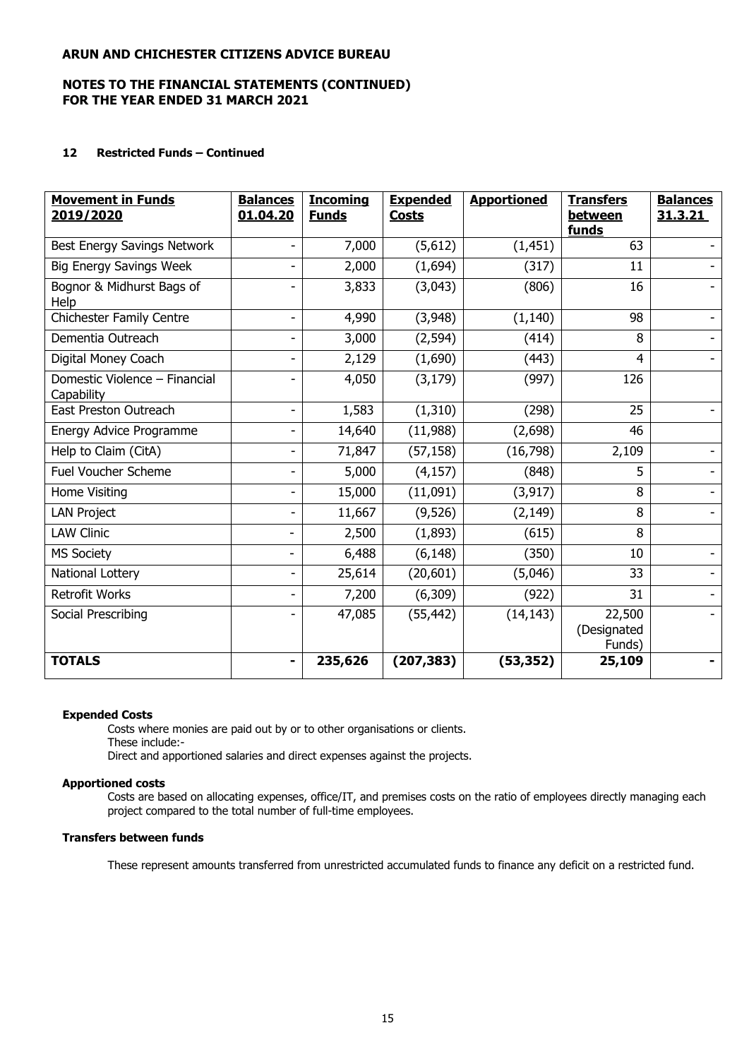### **NOTES TO THE FINANCIAL STATEMENTS (CONTINUED) FOR THE YEAR ENDED 31 MARCH 2021**

### **12 Restricted Funds – Continued**

| <b>Movement in Funds</b><br>2019/2020       | <b>Balances</b><br>01.04.20 | <b>Incoming</b><br><b>Funds</b> | <b>Expended</b><br><b>Costs</b> | <b>Apportioned</b> | <b>Transfers</b><br><b>between</b><br>funds | <b>Balances</b><br>31.3.21 |
|---------------------------------------------|-----------------------------|---------------------------------|---------------------------------|--------------------|---------------------------------------------|----------------------------|
| Best Energy Savings Network                 | $\overline{\phantom{0}}$    | 7,000                           | (5,612)                         | (1, 451)           | 63                                          |                            |
| <b>Big Energy Savings Week</b>              |                             | 2,000                           | (1,694)                         | (317)              | 11                                          |                            |
| Bognor & Midhurst Bags of<br>Help           |                             | 3,833                           | (3,043)                         | (806)              | 16                                          |                            |
| <b>Chichester Family Centre</b>             |                             | 4,990                           | (3,948)                         | (1, 140)           | 98                                          |                            |
| Dementia Outreach                           |                             | 3,000                           | (2, 594)                        | (414)              | 8                                           |                            |
| Digital Money Coach                         |                             | 2,129                           | (1,690)                         | (443)              | 4                                           |                            |
| Domestic Violence - Financial<br>Capability |                             | 4,050                           | (3, 179)                        | (997)              | 126                                         |                            |
| East Preston Outreach                       |                             | 1,583                           | (1, 310)                        | (298)              | 25                                          |                            |
| Energy Advice Programme                     |                             | 14,640                          | (11,988)                        | (2,698)            | 46                                          |                            |
| Help to Claim (CitA)                        |                             | 71,847                          | (57, 158)                       | (16, 798)          | 2,109                                       |                            |
| <b>Fuel Voucher Scheme</b>                  |                             | 5,000                           | (4, 157)                        | (848)              | 5                                           |                            |
| Home Visiting                               | $\overline{\phantom{0}}$    | 15,000                          | (11,091)                        | (3, 917)           | 8                                           |                            |
| <b>LAN Project</b>                          |                             | 11,667                          | (9, 526)                        | (2, 149)           | 8                                           |                            |
| <b>LAW Clinic</b>                           |                             | 2,500                           | (1,893)                         | (615)              | 8                                           |                            |
| <b>MS Society</b>                           |                             | 6,488                           | (6, 148)                        | (350)              | 10                                          |                            |
| National Lottery                            |                             | 25,614                          | (20, 601)                       | (5,046)            | 33                                          |                            |
| <b>Retrofit Works</b>                       | -                           | 7,200                           | (6, 309)                        | (922)              | 31                                          |                            |
| Social Prescribing                          |                             | 47,085                          | (55, 442)                       | (14, 143)          | 22,500<br>(Designated<br>Funds)             |                            |
| <b>TOTALS</b>                               | $\blacksquare$              | 235,626                         | (207, 383)                      | (53, 352)          | 25,109                                      |                            |

### **Expended Costs**

Costs where monies are paid out by or to other organisations or clients.

# These include:-

Direct and apportioned salaries and direct expenses against the projects.

#### **Apportioned costs**

Costs are based on allocating expenses, office/IT, and premises costs on the ratio of employees directly managing each project compared to the total number of full-time employees.

### **Transfers between funds**

These represent amounts transferred from unrestricted accumulated funds to finance any deficit on a restricted fund.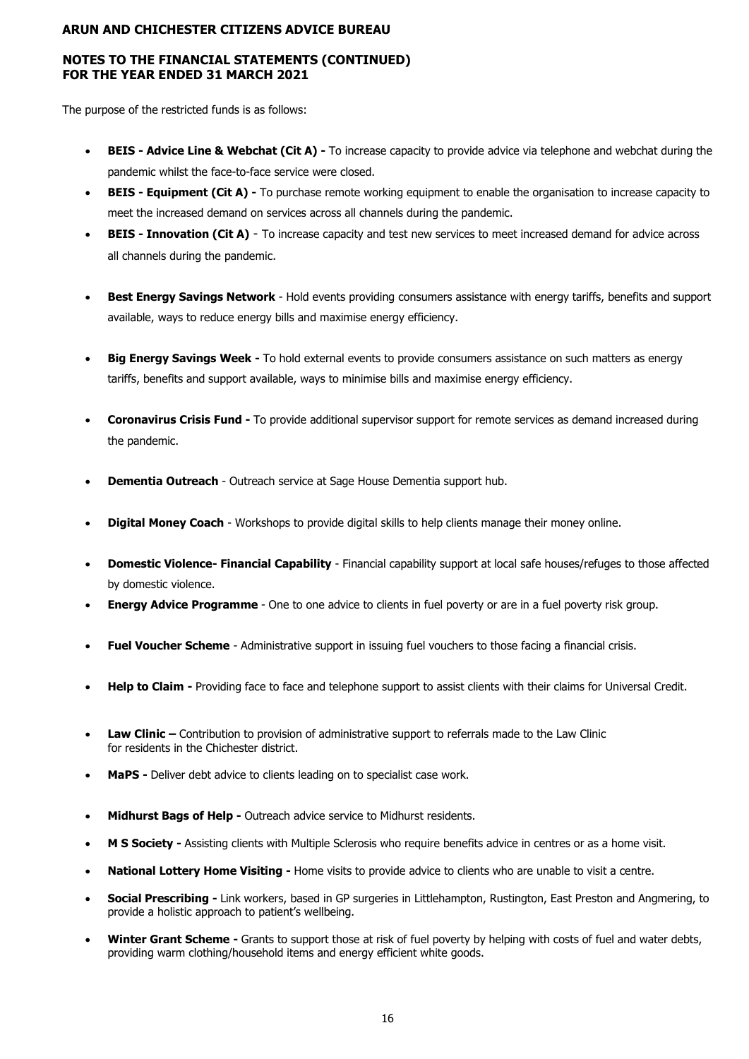## **NOTES TO THE FINANCIAL STATEMENTS (CONTINUED) FOR THE YEAR ENDED 31 MARCH 2021**

The purpose of the restricted funds is as follows:

- **BEIS Advice Line & Webchat (Cit A) -** To increase capacity to provide advice via telephone and webchat during the pandemic whilst the face-to-face service were closed.
- **BEIS Equipment (Cit A)** To purchase remote working equipment to enable the organisation to increase capacity to meet the increased demand on services across all channels during the pandemic.
- **BEIS Innovation (Cit A)** To increase capacity and test new services to meet increased demand for advice across all channels during the pandemic.
- **Best Energy Savings Network** Hold events providing consumers assistance with energy tariffs, benefits and support available, ways to reduce energy bills and maximise energy efficiency.
- **Big Energy Savings Week** To hold external events to provide consumers assistance on such matters as energy tariffs, benefits and support available, ways to minimise bills and maximise energy efficiency.
- **Coronavirus Crisis Fund** To provide additional supervisor support for remote services as demand increased during the pandemic.
- **Dementia Outreach** Outreach service at Sage House Dementia support hub.
- **Digital Money Coach** Workshops to provide digital skills to help clients manage their money online.
- **Domestic Violence- Financial Capability** Financial capability support at local safe houses/refuges to those affected by domestic violence.
- **Energy Advice Programme**  One to one advice to clients in fuel poverty or are in a fuel poverty risk group.
- **Fuel Voucher Scheme** Administrative support in issuing fuel vouchers to those facing a financial crisis.
- **Help to Claim** Providing face to face and telephone support to assist clients with their claims for Universal Credit.
- **Law Clinic** Contribution to provision of administrative support to referrals made to the Law Clinic for residents in the Chichester district.
- **MaPS** Deliver debt advice to clients leading on to specialist case work.
- **Midhurst Bags of Help** Outreach advice service to Midhurst residents.
- **M S Society** Assisting clients with Multiple Sclerosis who require benefits advice in centres or as a home visit.
- **National Lottery Home Visiting** Home visits to provide advice to clients who are unable to visit a centre.
- **Social Prescribing** Link workers, based in GP surgeries in Littlehampton, Rustington, East Preston and Angmering, to provide a holistic approach to patient's wellbeing.
- **Winter Grant Scheme** Grants to support those at risk of fuel poverty by helping with costs of fuel and water debts, providing warm clothing/household items and energy efficient white goods.